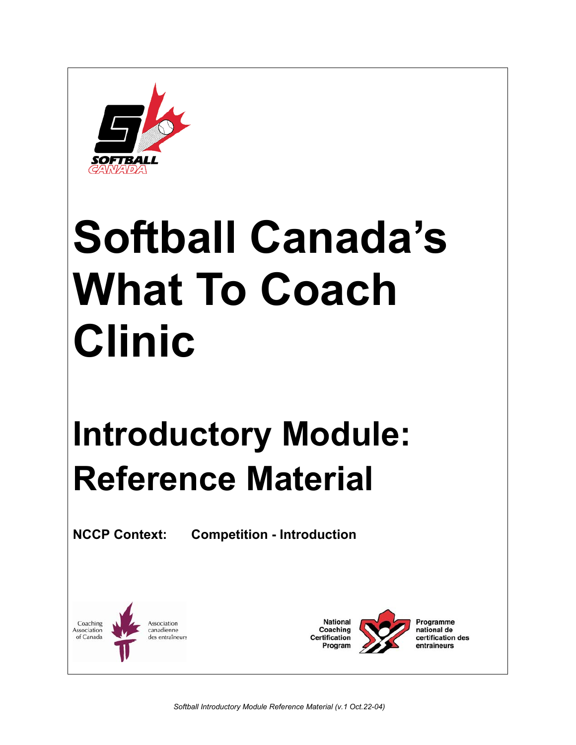

# **Softball Canada's What To Coach Clinic**

## **Introductory Module: Reference Material**

**NCCP Context: Competition - Introduction** 

Coaching Association Association canadienne of Canada des entraîneurs

**National** Coaching **Certification** Program

Programme national de certification des entraîneurs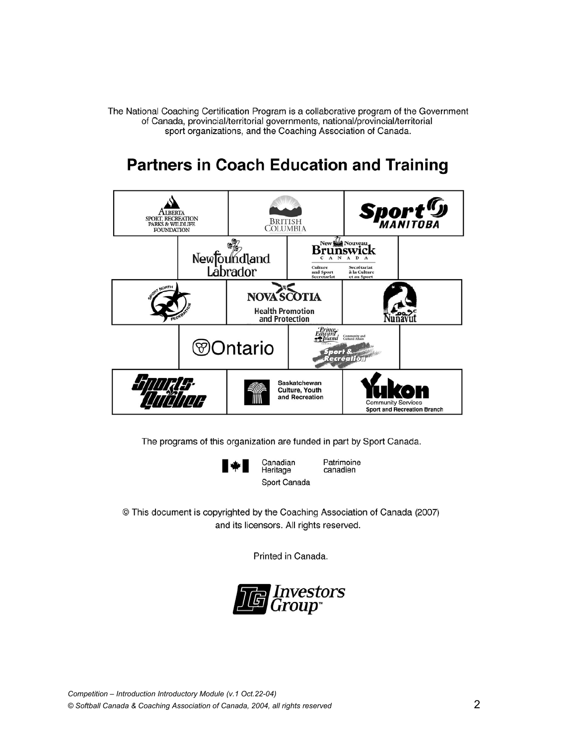The National Coaching Certification Program is a collaborative program of the Government of Canada, provincial/territorial governments, national/provincial/territorial sport organizations, and the Coaching Association of Canada.

## **Partners in Coach Education and Training**



The programs of this organization are funded in part by Sport Canada.

Canadian

Heritage



Patrimoine canadien Sport Canada

© This document is copyrighted by the Coaching Association of Canada (2007)

and its licensors. All rights reserved.

Printed in Canada.

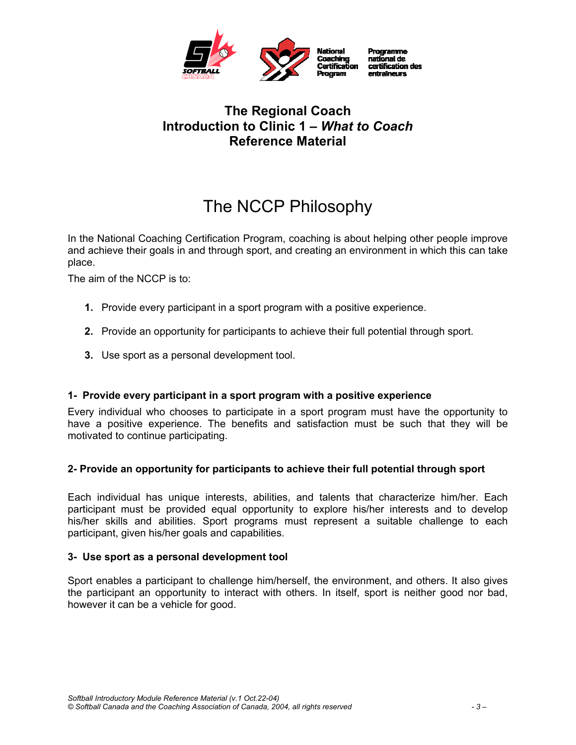

#### **The Regional Coach Introduction to Clinic 1 –** *What to Coach*  **Reference Material**

## The NCCP Philosophy

In the National Coaching Certification Program, coaching is about helping other people improve and achieve their goals in and through sport, and creating an environment in which this can take place.

The aim of the NCCP is to:

- **1.** Provide every participant in a sport program with a positive experience.
- **2.** Provide an opportunity for participants to achieve their full potential through sport.
- **3.** Use sport as a personal development tool.

#### **1- Provide every participant in a sport program with a positive experience**

Every individual who chooses to participate in a sport program must have the opportunity to have a positive experience. The benefits and satisfaction must be such that they will be motivated to continue participating.

#### **2- Provide an opportunity for participants to achieve their full potential through sport**

Each individual has unique interests, abilities, and talents that characterize him/her. Each participant must be provided equal opportunity to explore his/her interests and to develop his/her skills and abilities. Sport programs must represent a suitable challenge to each participant, given his/her goals and capabilities.

#### **3- Use sport as a personal development tool**

Sport enables a participant to challenge him/herself, the environment, and others. It also gives the participant an opportunity to interact with others. In itself, sport is neither good nor bad, however it can be a vehicle for good.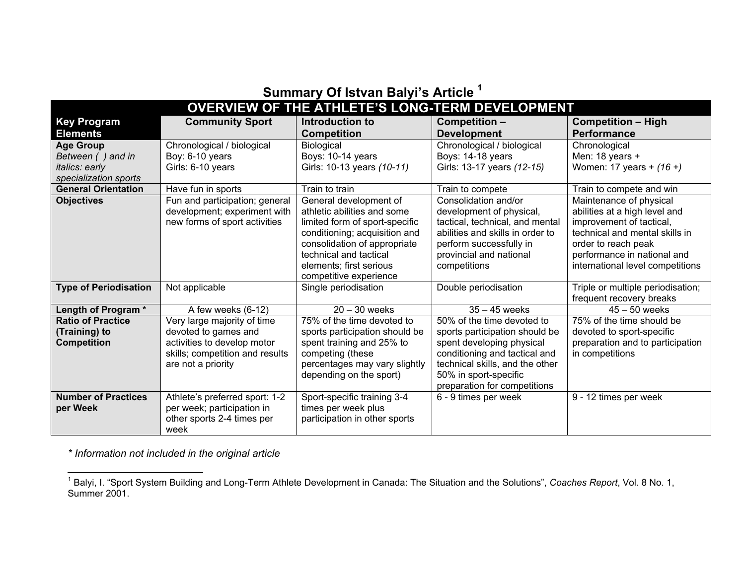| Summary Of Istvan Balyi's Article                      |                                 |                                |                                  |                                   |  |  |  |
|--------------------------------------------------------|---------------------------------|--------------------------------|----------------------------------|-----------------------------------|--|--|--|
| <b>OVERVIEW OF THE ATHLETE'S LONG-TERM DEVELOPMENT</b> |                                 |                                |                                  |                                   |  |  |  |
| <b>Key Program</b>                                     | <b>Community Sport</b>          | Introduction to                | Competition -                    | <b>Competition - High</b>         |  |  |  |
| <b>Elements</b>                                        |                                 | <b>Competition</b>             | <b>Development</b>               | <b>Performance</b>                |  |  |  |
| <b>Age Group</b>                                       | Chronological / biological      | Biological                     | Chronological / biological       | Chronological                     |  |  |  |
| Between () and in                                      | Boy: 6-10 years                 | Boys: 10-14 years              | Boys: 14-18 years                | Men: 18 years $+$                 |  |  |  |
| italics: early                                         | Girls: 6-10 years               | Girls: 10-13 years (10-11)     | Girls: 13-17 years (12-15)       | Women: 17 years + (16 +)          |  |  |  |
| specialization sports                                  |                                 |                                |                                  |                                   |  |  |  |
| <b>General Orientation</b>                             | Have fun in sports              | Train to train                 | Train to compete                 | Train to compete and win          |  |  |  |
| <b>Objectives</b>                                      | Fun and participation; general  | General development of         | Consolidation and/or             | Maintenance of physical           |  |  |  |
|                                                        | development; experiment with    | athletic abilities and some    | development of physical,         | abilities at a high level and     |  |  |  |
|                                                        | new forms of sport activities   | limited form of sport-specific | tactical, technical, and mental  | improvement of tactical,          |  |  |  |
|                                                        |                                 | conditioning; acquisition and  | abilities and skills in order to | technical and mental skills in    |  |  |  |
|                                                        |                                 | consolidation of appropriate   | perform successfully in          | order to reach peak               |  |  |  |
|                                                        |                                 | technical and tactical         | provincial and national          | performance in national and       |  |  |  |
|                                                        |                                 | elements; first serious        | competitions                     | international level competitions  |  |  |  |
|                                                        |                                 | competitive experience         |                                  |                                   |  |  |  |
| <b>Type of Periodisation</b>                           | Not applicable                  | Single periodisation           | Double periodisation             | Triple or multiple periodisation; |  |  |  |
|                                                        |                                 |                                |                                  | frequent recovery breaks          |  |  |  |
| Length of Program*                                     | A few weeks (6-12)              | $20 - 30$ weeks                | $35 - 45$ weeks                  | $45 - 50$ weeks                   |  |  |  |
| <b>Ratio of Practice</b>                               | Very large majority of time     | 75% of the time devoted to     | 50% of the time devoted to       | 75% of the time should be         |  |  |  |
| (Training) to                                          | devoted to games and            | sports participation should be | sports participation should be   | devoted to sport-specific         |  |  |  |
| <b>Competition</b>                                     | activities to develop motor     | spent training and 25% to      | spent developing physical        | preparation and to participation  |  |  |  |
|                                                        | skills; competition and results | competing (these               | conditioning and tactical and    | in competitions                   |  |  |  |
|                                                        | are not a priority              | percentages may vary slightly  | technical skills, and the other  |                                   |  |  |  |
|                                                        |                                 | depending on the sport)        | 50% in sport-specific            |                                   |  |  |  |
|                                                        |                                 |                                | preparation for competitions     |                                   |  |  |  |
| <b>Number of Practices</b>                             | Athlete's preferred sport: 1-2  | Sport-specific training 3-4    | 6 - 9 times per week             | 9 - 12 times per week             |  |  |  |
| per Week                                               | per week; participation in      | times per week plus            |                                  |                                   |  |  |  |
|                                                        | other sports 2-4 times per      | participation in other sports  |                                  |                                   |  |  |  |
|                                                        | week                            |                                |                                  |                                   |  |  |  |

**Summary Of Istvan Balyi's Article <sup>1</sup>**

*\* Information not included in the original article*

<sup>&</sup>lt;sup>1</sup> Balyi, I. "Sport System Building and Long-Term Athlete Development in Canada: The Situation and the Solutions", Coaches Report, Vol. 8 No. 1, Summer 2001.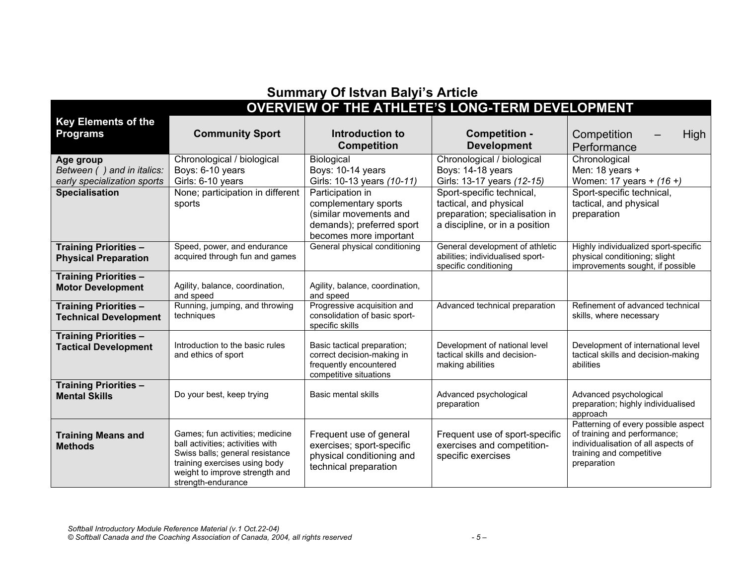## **Summary Of Istvan Balyi's Article**

## **OVERVIEW OF THE ATHLETE'S LONG-TERM DEVELOPMENT**

| <b>Key Elements of the</b>   |                                                                     |                                                  |                                                                     |                                                                       |
|------------------------------|---------------------------------------------------------------------|--------------------------------------------------|---------------------------------------------------------------------|-----------------------------------------------------------------------|
| <b>Programs</b>              | <b>Community Sport</b>                                              | Introduction to                                  | <b>Competition -</b>                                                | Competition<br>High                                                   |
|                              |                                                                     | <b>Competition</b>                               | <b>Development</b>                                                  | Performance                                                           |
| Age group                    | Chronological / biological                                          | <b>Biological</b>                                | Chronological / biological                                          | Chronological                                                         |
| Between () and in italics:   | Boys: 6-10 years                                                    | Boys: 10-14 years                                | Boys: 14-18 years                                                   | Men: 18 years +                                                       |
| early specialization sports  | Girls: 6-10 years                                                   | Girls: 10-13 years (10-11)                       | Girls: 13-17 years (12-15)                                          | Women: 17 years + (16 +)                                              |
| <b>Specialisation</b>        | None; participation in different                                    | Participation in                                 | Sport-specific technical,                                           | Sport-specific technical,                                             |
|                              | sports                                                              | complementary sports                             | tactical, and physical                                              | tactical, and physical                                                |
|                              |                                                                     | (similar movements and                           | preparation; specialisation in                                      | preparation                                                           |
|                              |                                                                     | demands); preferred sport                        | a discipline, or in a position                                      |                                                                       |
|                              |                                                                     | becomes more important                           |                                                                     |                                                                       |
| <b>Training Priorities -</b> | Speed, power, and endurance<br>acquired through fun and games       | General physical conditioning                    | General development of athletic<br>abilities; individualised sport- | Highly individualized sport-specific<br>physical conditioning; slight |
| <b>Physical Preparation</b>  |                                                                     |                                                  | specific conditioning                                               | improvements sought, if possible                                      |
| <b>Training Priorities -</b> |                                                                     |                                                  |                                                                     |                                                                       |
| <b>Motor Development</b>     | Agility, balance, coordination,                                     | Agility, balance, coordination,                  |                                                                     |                                                                       |
|                              | and speed                                                           | and speed                                        |                                                                     |                                                                       |
| <b>Training Priorities -</b> | Running, jumping, and throwing                                      | Progressive acquisition and                      | Advanced technical preparation                                      | Refinement of advanced technical                                      |
| <b>Technical Development</b> | techniques                                                          | consolidation of basic sport-<br>specific skills |                                                                     | skills, where necessary                                               |
| <b>Training Priorities -</b> |                                                                     |                                                  |                                                                     |                                                                       |
| <b>Tactical Development</b>  | Introduction to the basic rules                                     | Basic tactical preparation;                      | Development of national level                                       | Development of international level                                    |
|                              | and ethics of sport                                                 | correct decision-making in                       | tactical skills and decision-                                       | tactical skills and decision-making                                   |
|                              |                                                                     | frequently encountered                           | making abilities                                                    | abilities                                                             |
| <b>Training Priorities -</b> |                                                                     | competitive situations                           |                                                                     |                                                                       |
| <b>Mental Skills</b>         | Do your best, keep trying                                           | <b>Basic mental skills</b>                       | Advanced psychological                                              | Advanced psychological                                                |
|                              |                                                                     |                                                  | preparation                                                         | preparation; highly individualised                                    |
|                              |                                                                     |                                                  |                                                                     | approach                                                              |
|                              |                                                                     |                                                  |                                                                     | Patterning of every possible aspect                                   |
| <b>Training Means and</b>    | Games; fun activities; medicine                                     | Frequent use of general                          | Frequent use of sport-specific                                      | of training and performance;                                          |
| <b>Methods</b>               | ball activities; activities with<br>Swiss balls; general resistance | exercises; sport-specific                        | exercises and competition-                                          | individualisation of all aspects of<br>training and competitive       |
|                              | training exercises using body                                       | physical conditioning and                        | specific exercises                                                  | preparation                                                           |
|                              | weight to improve strength and                                      | technical preparation                            |                                                                     |                                                                       |
|                              | strength-endurance                                                  |                                                  |                                                                     |                                                                       |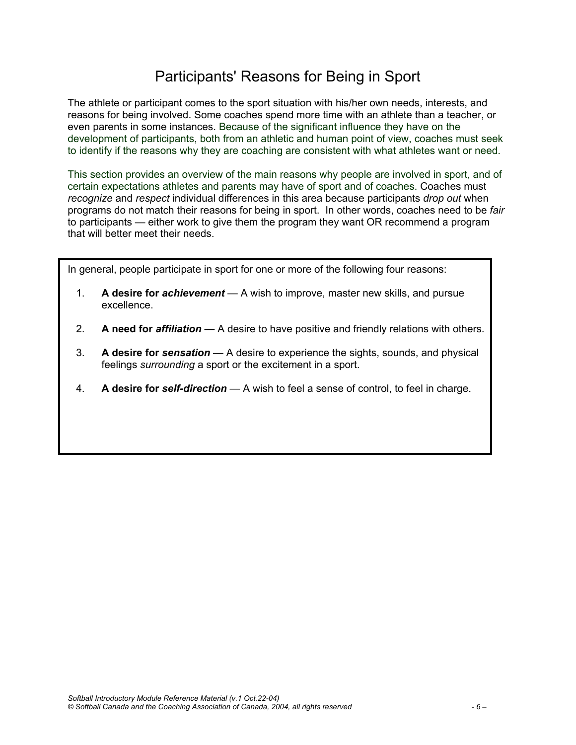## Participants' Reasons for Being in Sport

The athlete or participant comes to the sport situation with his/her own needs, interests, and reasons for being involved. Some coaches spend more time with an athlete than a teacher, or even parents in some instances. Because of the significant influence they have on the development of participants, both from an athletic and human point of view, coaches must seek to identify if the reasons why they are coaching are consistent with what athletes want or need.

This section provides an overview of the main reasons why people are involved in sport, and of certain expectations athletes and parents may have of sport and of coaches. Coaches must *recognize* and *respect* individual differences in this area because participants *drop out* when programs do not match their reasons for being in sport. In other words, coaches need to be *fair* to participants — either work to give them the program they want OR recommend a program that will better meet their needs.

In general, people participate in sport for one or more of the following four reasons:

- 1. **A desire for** *achievement* A wish to improve, master new skills, and pursue excellence.
- 2. **A need for** *affiliation* A desire to have positive and friendly relations with others.
- 3. **A desire for** *sensation* A desire to experience the sights, sounds, and physical feelings *surrounding* a sport or the excitement in a sport.
- 4. **A desire for** *self-direction* A wish to feel a sense of control, to feel in charge.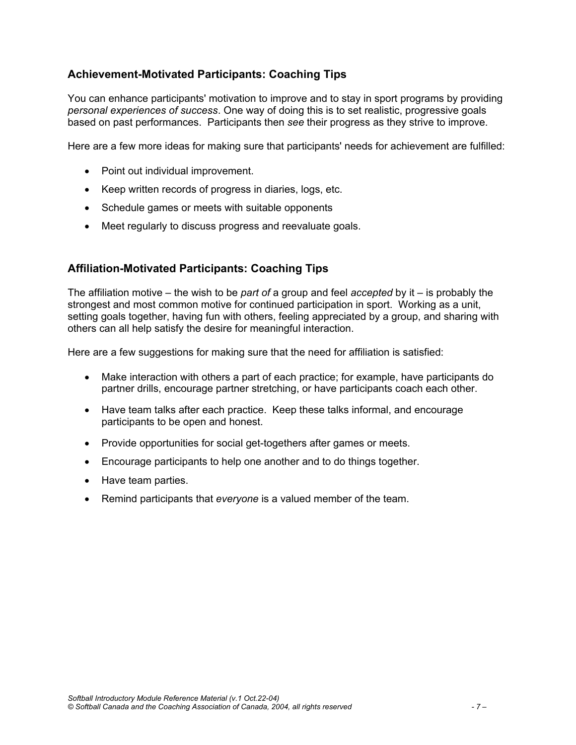#### **Achievement-Motivated Participants: Coaching Tips**

You can enhance participants' motivation to improve and to stay in sport programs by providing *personal experiences of success*. One way of doing this is to set realistic, progressive goals based on past performances. Participants then *see* their progress as they strive to improve.

Here are a few more ideas for making sure that participants' needs for achievement are fulfilled:

- Point out individual improvement.
- Keep written records of progress in diaries, logs, etc.
- Schedule games or meets with suitable opponents
- Meet regularly to discuss progress and reevaluate goals.

#### **Affiliation-Motivated Participants: Coaching Tips**

The affiliation motive – the wish to be *part of* a group and feel *accepted* by it – is probably the strongest and most common motive for continued participation in sport. Working as a unit, setting goals together, having fun with others, feeling appreciated by a group, and sharing with others can all help satisfy the desire for meaningful interaction.

Here are a few suggestions for making sure that the need for affiliation is satisfied:

- Make interaction with others a part of each practice; for example, have participants do partner drills, encourage partner stretching, or have participants coach each other.
- Have team talks after each practice. Keep these talks informal, and encourage participants to be open and honest.
- Provide opportunities for social get-togethers after games or meets.
- Encourage participants to help one another and to do things together.
- Have team parties.
- Remind participants that *everyone* is a valued member of the team.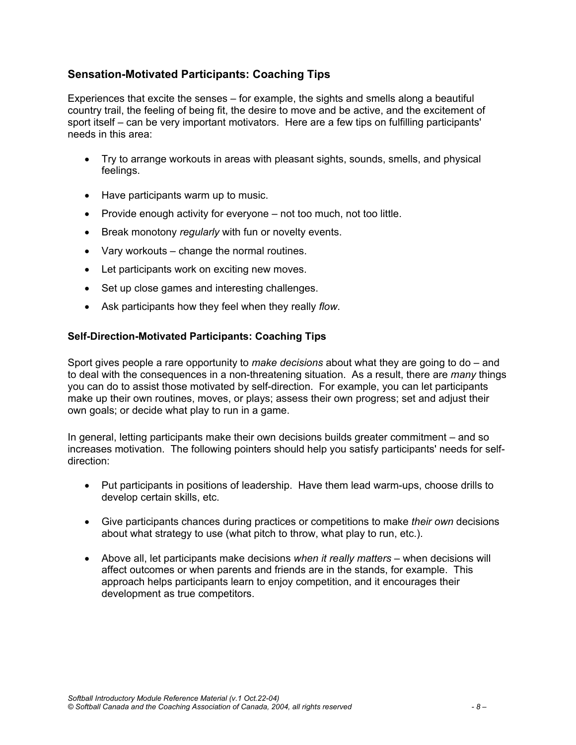#### **Sensation-Motivated Participants: Coaching Tips**

Experiences that excite the senses – for example, the sights and smells along a beautiful country trail, the feeling of being fit, the desire to move and be active, and the excitement of sport itself – can be very important motivators. Here are a few tips on fulfilling participants' needs in this area:

- Try to arrange workouts in areas with pleasant sights, sounds, smells, and physical feelings.
- Have participants warm up to music.
- Provide enough activity for everyone not too much, not too little.
- Break monotony *regularly* with fun or novelty events.
- Vary workouts change the normal routines.
- Let participants work on exciting new moves.
- Set up close games and interesting challenges.
- Ask participants how they feel when they really *flow*.

#### **Self-Direction-Motivated Participants: Coaching Tips**

Sport gives people a rare opportunity to *make decisions* about what they are going to do – and to deal with the consequences in a non-threatening situation. As a result, there are *many* things you can do to assist those motivated by self-direction. For example, you can let participants make up their own routines, moves, or plays; assess their own progress; set and adjust their own goals; or decide what play to run in a game.

In general, letting participants make their own decisions builds greater commitment – and so increases motivation. The following pointers should help you satisfy participants' needs for selfdirection:

- Put participants in positions of leadership. Have them lead warm-ups, choose drills to develop certain skills, etc.
- Give participants chances during practices or competitions to make *their own* decisions about what strategy to use (what pitch to throw, what play to run, etc.).
- Above all, let participants make decisions *when it really matters* when decisions will affect outcomes or when parents and friends are in the stands, for example. This approach helps participants learn to enjoy competition, and it encourages their development as true competitors.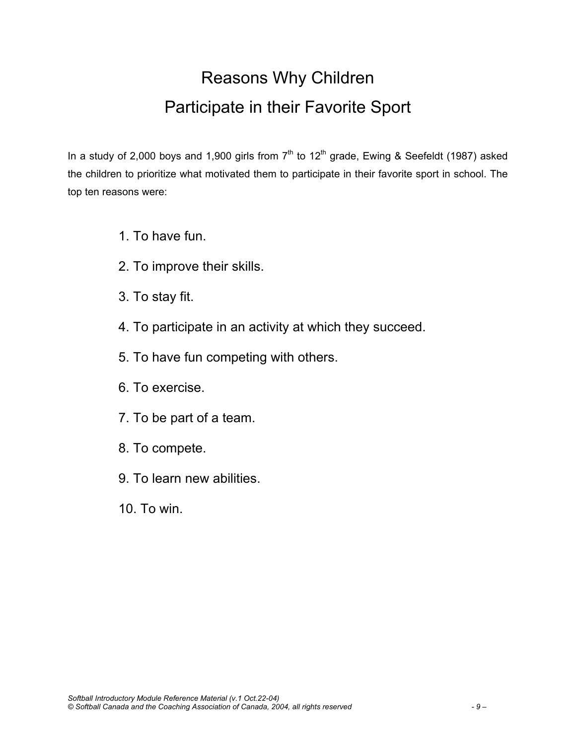## Reasons Why Children Participate in their Favorite Sport

In a study of 2,000 boys and 1,900 girls from  $7<sup>th</sup>$  to 12<sup>th</sup> grade, Ewing & Seefeldt (1987) asked the children to prioritize what motivated them to participate in their favorite sport in school. The top ten reasons were:

- 1. To have fun.
- 2. To improve their skills.
- 3. To stay fit.
- 4. To participate in an activity at which they succeed.
- 5. To have fun competing with others.
- 6. To exercise.
- 7. To be part of a team.
- 8. To compete.
- 9. To learn new abilities.
- 10. To win.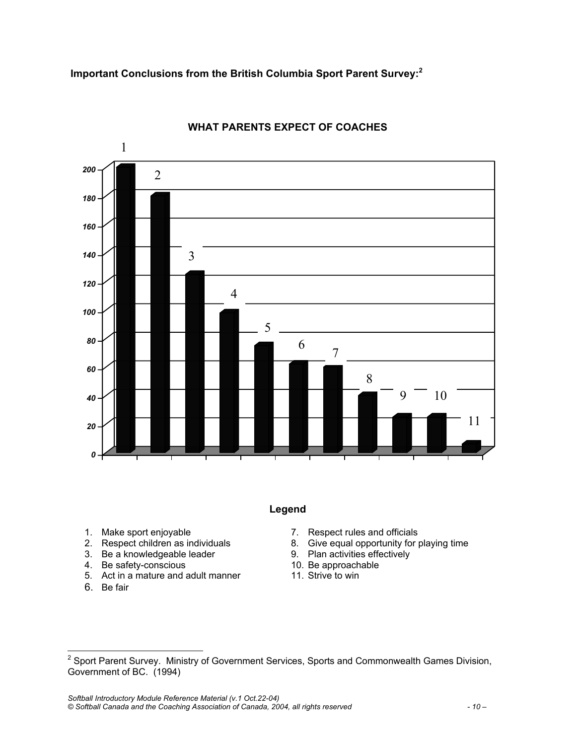**Important Conclusions from the British Columbia Sport Parent Survey:<sup>2</sup>**



#### **WHAT PARENTS EXPECT OF COACHES**

#### **Legend**

- 1. Make sport enjoyable
- 2. Respect children as individuals
- 3. Be a knowledgeable leader
- 4. Be safety-conscious
- 5. Act in a mature and adult manner
- 6. Be fair
- 7. Respect rules and officials
- 8. Give equal opportunity for playing time
- 9. Plan activities effectively
- 10. Be approachable
- 11. Strive to win

*Softball Introductory Module Reference Material (v.1 Oct.22-04) © Softball Canada and the Coaching Association of Canada, 2004, all rights reserved - 10 –* 

 2 Sport Parent Survey. Ministry of Government Services, Sports and Commonwealth Games Division, Government of BC. (1994)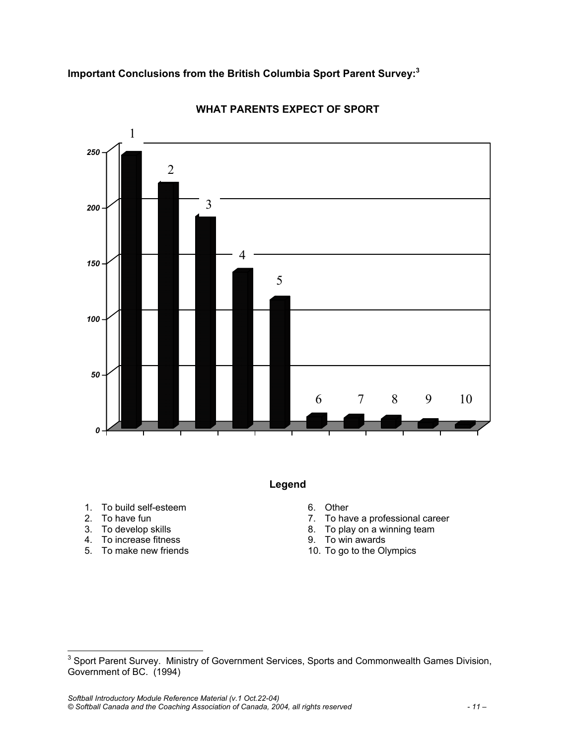

#### **WHAT PARENTS EXPECT OF SPORT**

**Legend** 

- 1. To build self-esteem
- 2. To have fun
- 3. To develop skills
- 4. To increase fitness
- 5. To make new friends
- 6. Other
- 7. To have a professional career
- 8. To play on a winning team
- 9. To win awards
- 10. To go to the Olympics

 3 Sport Parent Survey. Ministry of Government Services, Sports and Commonwealth Games Division, Government of BC. (1994)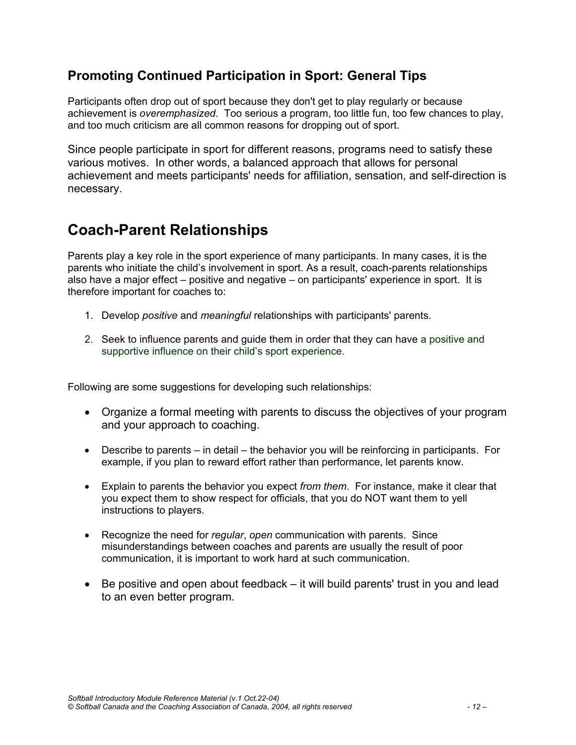#### **Promoting Continued Participation in Sport: General Tips**

Participants often drop out of sport because they don't get to play regularly or because achievement is *overemphasized*. Too serious a program, too little fun, too few chances to play, and too much criticism are all common reasons for dropping out of sport.

Since people participate in sport for different reasons, programs need to satisfy these various motives. In other words, a balanced approach that allows for personal achievement and meets participants' needs for affiliation, sensation, and self-direction is necessary.

## **Coach-Parent Relationships**

Parents play a key role in the sport experience of many participants. In many cases, it is the parents who initiate the child's involvement in sport. As a result, coach-parents relationships also have a major effect – positive and negative – on participants' experience in sport. It is therefore important for coaches to:

- 1. Develop *positive* and *meaningful* relationships with participants' parents.
- 2. Seek to influence parents and guide them in order that they can have a positive and supportive influence on their child's sport experience.

Following are some suggestions for developing such relationships:

- Organize a formal meeting with parents to discuss the objectives of your program and your approach to coaching.
- Describe to parents in detail the behavior you will be reinforcing in participants. For example, if you plan to reward effort rather than performance, let parents know.
- Explain to parents the behavior you expect *from them*. For instance, make it clear that you expect them to show respect for officials, that you do NOT want them to yell instructions to players.
- Recognize the need for *regular*, *open* communication with parents. Since misunderstandings between coaches and parents are usually the result of poor communication, it is important to work hard at such communication.
- Be positive and open about feedback it will build parents' trust in you and lead to an even better program.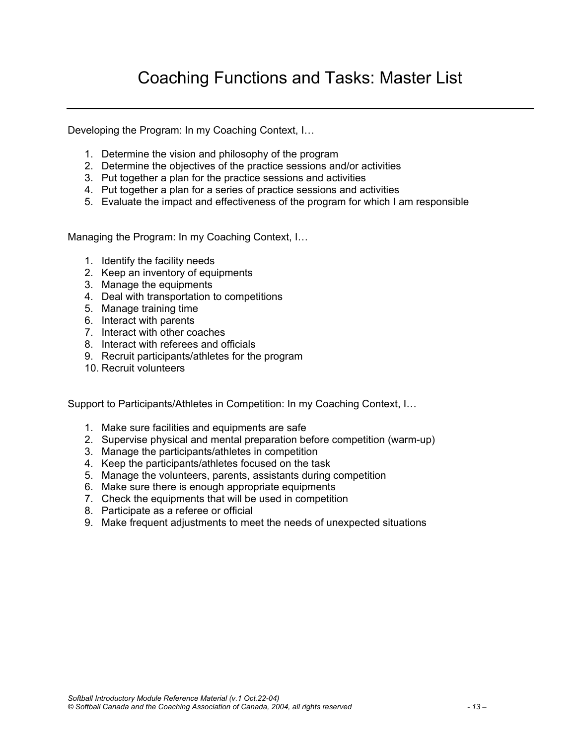## Coaching Functions and Tasks: Master List

Developing the Program: In my Coaching Context, I…

- 1. Determine the vision and philosophy of the program
- 2. Determine the objectives of the practice sessions and/or activities
- 3. Put together a plan for the practice sessions and activities
- 4. Put together a plan for a series of practice sessions and activities
- 5. Evaluate the impact and effectiveness of the program for which I am responsible

Managing the Program: In my Coaching Context, I…

- 1. Identify the facility needs
- 2. Keep an inventory of equipments
- 3. Manage the equipments
- 4. Deal with transportation to competitions
- 5. Manage training time
- 6. Interact with parents
- 7. Interact with other coaches
- 8. Interact with referees and officials
- 9. Recruit participants/athletes for the program
- 10. Recruit volunteers

Support to Participants/Athletes in Competition: In my Coaching Context, I…

- 1. Make sure facilities and equipments are safe
- 2. Supervise physical and mental preparation before competition (warm-up)
- 3. Manage the participants/athletes in competition
- 4. Keep the participants/athletes focused on the task
- 5. Manage the volunteers, parents, assistants during competition
- 6. Make sure there is enough appropriate equipments
- 7. Check the equipments that will be used in competition
- 8. Participate as a referee or official
- 9. Make frequent adjustments to meet the needs of unexpected situations